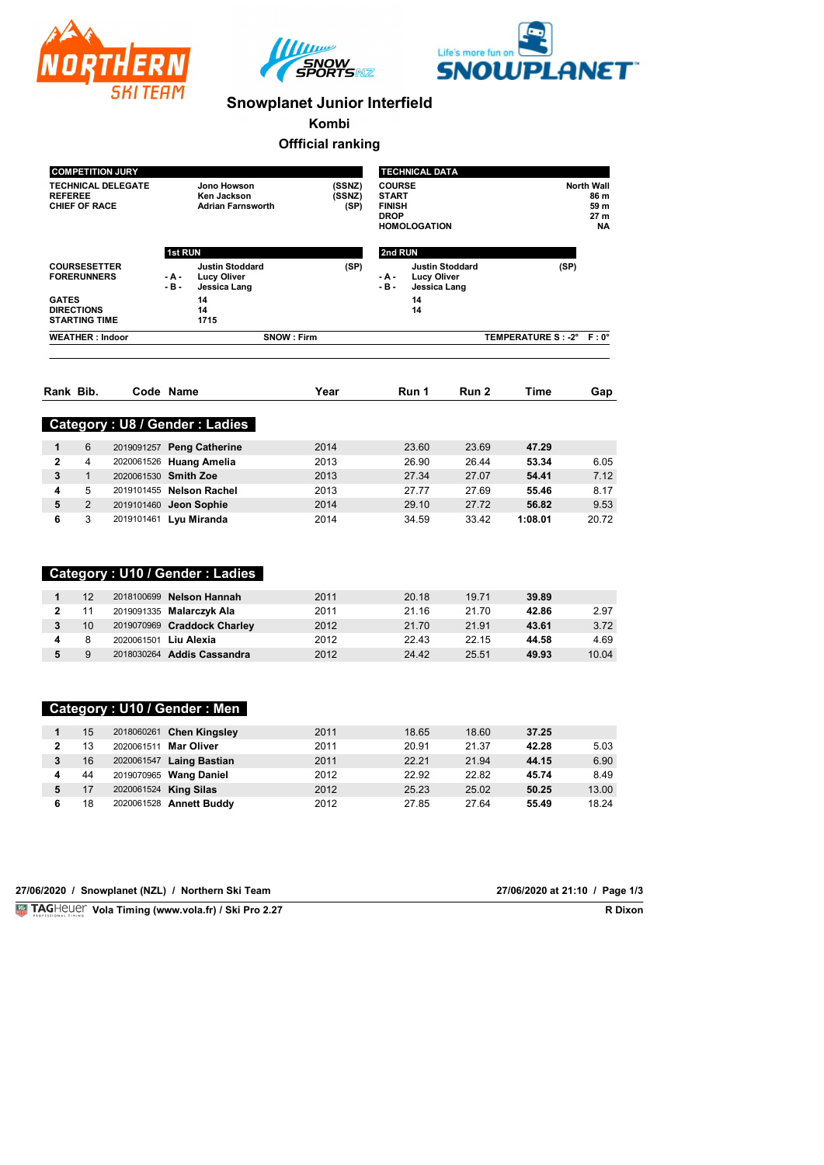





## **Snowplanet Junior Interfield**

**Kombi**

### **Offficial ranking**

|                                                                                |                              | <b>COMPETITION JURY</b> |                                                                                               |                          | <b>TECHNICAL DATA</b>                                                                      |                |                     |                                                        |                |
|--------------------------------------------------------------------------------|------------------------------|-------------------------|-----------------------------------------------------------------------------------------------|--------------------------|--------------------------------------------------------------------------------------------|----------------|---------------------|--------------------------------------------------------|----------------|
| <b>TECHNICAL DELEGATE</b><br><b>REFEREE</b><br><b>CHIEF OF RACE</b>            |                              |                         | Jono Howson<br>Ken Jackson<br><b>Adrian Farnsworth</b>                                        | (SSNZ)<br>(SSNZ)<br>(SP) |                                                                                            |                | <b>HOMOLOGATION</b> | <b>North Wall</b><br>86 m<br>59 m<br>27 m<br><b>NA</b> |                |
|                                                                                |                              |                         | 1st RUN                                                                                       |                          | 2nd RUN                                                                                    |                |                     |                                                        |                |
| <b>COURSESETTER</b><br><b>FORERUNNERS</b><br><b>GATES</b><br><b>DIRECTIONS</b> |                              |                         | <b>Justin Stoddard</b><br>$- A -$<br><b>Lucy Oliver</b><br>$-B -$<br>Jessica Lang<br>14<br>14 | (SP)                     | <b>Justin Stoddard</b><br>- A -<br><b>Lucy Oliver</b><br>- B -<br>Jessica Lang<br>14<br>14 |                |                     | (SP)                                                   |                |
|                                                                                | 1715<br><b>STARTING TIME</b> |                         |                                                                                               |                          |                                                                                            |                |                     |                                                        |                |
|                                                                                | <b>WEATHER: Indoor</b>       |                         |                                                                                               | <b>SNOW: Firm</b>        |                                                                                            |                |                     | TEMPERATURE S : - 2°                                   | $F: 0^{\circ}$ |
|                                                                                | Rank Bib.                    |                         | Code Name                                                                                     | Year                     |                                                                                            | Run 1          | Run 2               | Time                                                   | Gap            |
|                                                                                |                              |                         |                                                                                               |                          |                                                                                            |                |                     |                                                        |                |
|                                                                                |                              |                         | Category: U8 / Gender: Ladies                                                                 |                          |                                                                                            |                |                     |                                                        |                |
| 1                                                                              | 6<br>4                       |                         | 2019091257 Peng Catherine                                                                     | 2014                     |                                                                                            | 23.60          | 23.69               | 47.29                                                  | 6.05           |
| $\mathbf{2}$<br>3                                                              | $\mathbf{1}$                 |                         | 2020061526 Huang Amelia<br>2020061530 Smith Zoe                                               | 2013<br>2013             |                                                                                            | 26.90<br>27.34 | 26.44<br>27.07      | 53.34<br>54.41                                         | 7.12           |
| 4                                                                              | 5                            |                         | 2019101455 Nelson Rachel                                                                      | 2013                     |                                                                                            | 27.77          | 27.69               | 55.46                                                  | 8.17           |
| 5                                                                              | $\overline{2}$               |                         | 2019101460 Jeon Sophie                                                                        | 2014                     |                                                                                            | 29.10          | 27.72               | 56.82                                                  | 9.53           |
| 6                                                                              | 3                            |                         | 2019101461 Lyu Miranda                                                                        | 2014                     |                                                                                            | 34.59          | 33.42               | 1:08.01                                                | 20.72          |
|                                                                                |                              |                         | Category: U10 / Gender: Ladies                                                                |                          |                                                                                            |                |                     |                                                        |                |
| 1                                                                              | 12                           |                         | 2018100699 Nelson Hannah                                                                      | 2011                     |                                                                                            | 20.18          | 19.71               | 39.89                                                  |                |
| $\overline{2}$                                                                 | 11                           |                         | 2019091335 Malarczyk Ala                                                                      | 2011                     |                                                                                            | 21.16          | 21.70               | 42.86                                                  | 2.97           |
| 3                                                                              | 10                           |                         | 2019070969 Craddock Charley                                                                   | 2012                     |                                                                                            | 21.70          | 21.91               | 43.61                                                  | 3.72           |
| 4                                                                              | 8                            |                         | 2020061501 Liu Alexia                                                                         | 2012                     |                                                                                            | 22.43          | 22.15               | 44.58                                                  | 4.69           |
| 5                                                                              | 9                            |                         | 2018030264 Addis Cassandra                                                                    | 2012                     |                                                                                            | 24.42          | 25.51               | 49.93                                                  | 10.04          |
|                                                                                |                              |                         | Category: U10 / Gender: Men                                                                   |                          |                                                                                            |                |                     |                                                        |                |
| $\mathbf{1}$                                                                   | 15                           |                         | 2018060261 Chen Kingsley                                                                      | 2011                     |                                                                                            | 18.65          | 18.60               | 37.25                                                  |                |
| 2                                                                              | 13                           |                         | 2020061511 Mar Oliver                                                                         | 2011                     |                                                                                            | 20.91          | 21.37               | 42.28                                                  | 5.03           |
| 3                                                                              | 16                           |                         | 2020061547 Laing Bastian                                                                      | 2011                     |                                                                                            | 22.21          | 21.94               | 44.15                                                  | 6.90           |
| 4                                                                              | 44                           |                         | 2019070965 Wang Daniel                                                                        | 2012                     |                                                                                            | 22.92          | 22.82               | 45.74                                                  | 8.49           |
| 5                                                                              | 17                           |                         | 2020061524 King Silas                                                                         | 2012                     |                                                                                            | 25.23          | 25.02               | 50.25                                                  | 13.00          |
| 6                                                                              | 18                           |                         | 2020061528 Annett Buddy                                                                       | 2012                     |                                                                                            | 27.85          | 27.64               | 55.49                                                  | 18.24          |

#### 27/06/2020 / Snowplanet (NZL) / Northern Ski Team

**Vola Timing (www.vola.fr) / Ski Pro 2.27** 

27/06/2020 at 21:10 / Page 1/3<br>R Dixon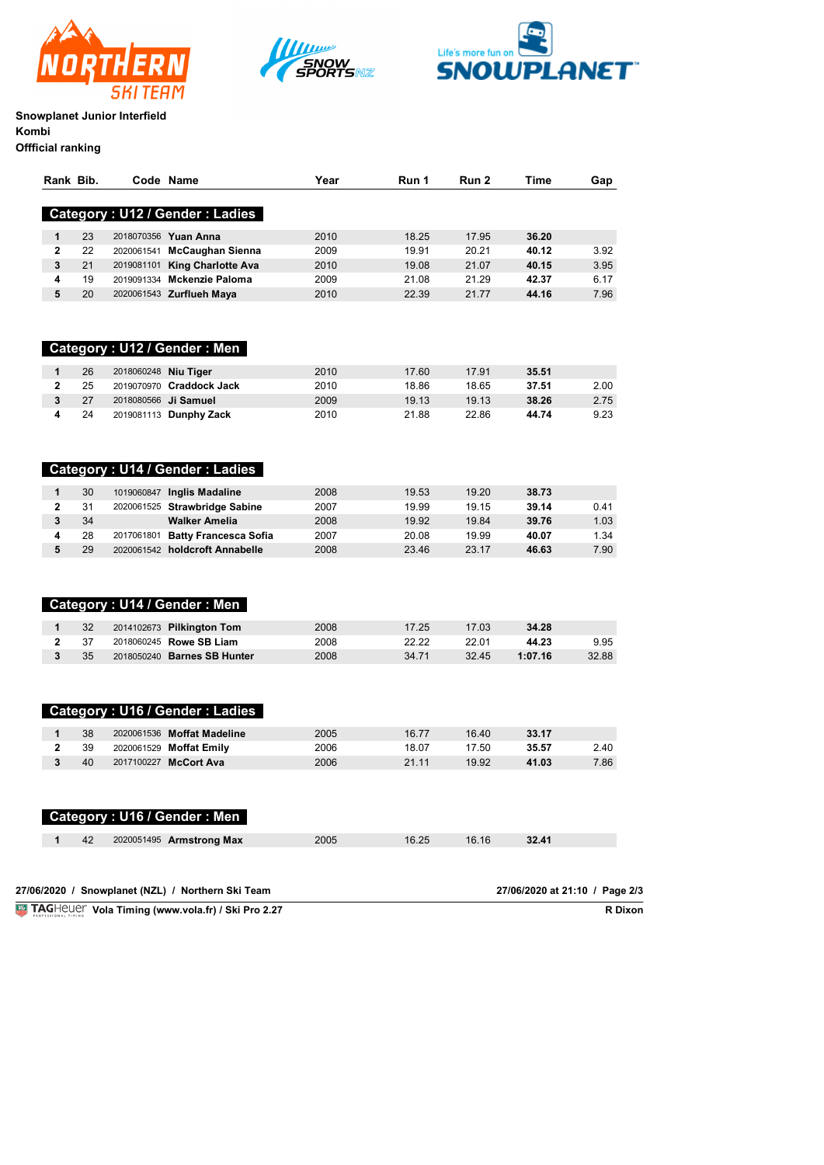





# **Snowplanet Junior Interfield Kombi**

| Offficial ranking |  |
|-------------------|--|
|-------------------|--|

| Rank Bib.      |    |                      | Code Name                                         | Year | Run 1 | Run 2 | Time                           | Gap   |
|----------------|----|----------------------|---------------------------------------------------|------|-------|-------|--------------------------------|-------|
|                |    |                      | Category: U12 / Gender: Ladies                    |      |       |       |                                |       |
| 1              | 23 |                      | 2018070356 Yuan Anna                              | 2010 | 18.25 | 17.95 | 36.20                          |       |
| $\mathbf{2}$   | 22 |                      | 2020061541 McCaughan Sienna                       | 2009 | 19.91 | 20.21 | 40.12                          | 3.92  |
| 3              | 21 |                      | 2019081101 King Charlotte Ava                     | 2010 | 19.08 | 21.07 | 40.15                          | 3.95  |
| 4              | 19 |                      | 2019091334 Mckenzie Paloma                        | 2009 | 21.08 | 21.29 | 42.37                          | 6.17  |
| 5              | 20 |                      | 2020061543 Zurflueh Maya                          | 2010 | 22.39 | 21.77 | 44.16                          | 7.96  |
|                |    |                      | Category: U12 / Gender: Men                       |      |       |       |                                |       |
| 1              | 26 | 2018060248 Niu Tiger |                                                   | 2010 | 17.60 | 17.91 | 35.51                          |       |
| $\overline{2}$ | 25 |                      | 2019070970 Craddock Jack                          | 2010 | 18.86 | 18.65 | 37.51                          | 2.00  |
| 3              | 27 |                      | 2018080566 Ji Samuel                              | 2009 | 19.13 | 19.13 | 38.26                          | 2.75  |
| 4              | 24 |                      | 2019081113 Dunphy Zack                            | 2010 | 21.88 | 22.86 | 44.74                          | 9.23  |
|                |    |                      |                                                   |      |       |       |                                |       |
|                |    |                      | Category: U14 / Gender: Ladies                    |      |       |       |                                |       |
| 1              | 30 |                      | 1019060847 Inglis Madaline                        | 2008 | 19.53 | 19.20 | 38.73                          |       |
| $\overline{2}$ | 31 |                      | 2020061525 Strawbridge Sabine                     | 2007 | 19.99 | 19.15 | 39.14                          | 0.41  |
| 3              | 34 |                      | <b>Walker Amelia</b>                              | 2008 | 19.92 | 19.84 | 39.76                          | 1.03  |
| 4              | 28 |                      | 2017061801 Batty Francesca Sofia                  | 2007 | 20.08 | 19.99 | 40.07                          | 1.34  |
| 5              | 29 |                      | 2020061542 holdcroft Annabelle                    | 2008 | 23.46 | 23.17 | 46.63                          | 7.90  |
|                |    |                      |                                                   |      |       |       |                                |       |
|                |    |                      | Category: U14 / Gender: Men                       |      |       |       |                                |       |
| 1              | 32 |                      | 2014102673 Pilkington Tom                         | 2008 | 17.25 | 17.03 | 34.28                          |       |
| $\mathbf{2}$   | 37 |                      | 2018060245 Rowe SB Liam                           | 2008 | 22.22 | 22.01 | 44.23                          | 9.95  |
| 3              | 35 |                      | 2018050240 Barnes SB Hunter                       | 2008 | 34.71 | 32.45 | 1:07.16                        | 32.88 |
|                |    |                      | <b>Category: U16 / Gender: Ladies</b>             |      |       |       |                                |       |
| $\mathbf{1}$   | 38 |                      | 2020061536 Moffat Madeline                        | 2005 | 16.77 | 16.40 | 33.17                          |       |
| $\mathbf{2}$   | 39 |                      | 2020061529 Moffat Emily                           | 2006 | 18.07 | 17.50 | 35.57                          | 2.40  |
| 3              | 40 |                      | 2017100227 McCort Ava                             | 2006 | 21.11 | 19.92 | 41.03                          | 7.86  |
|                |    |                      |                                                   |      |       |       |                                |       |
|                |    |                      | Category: U16 / Gender: Men                       |      |       |       |                                |       |
| 1              | 42 |                      | 2020051495 Armstrong Max                          | 2005 | 16.25 | 16.16 | 32.41                          |       |
|                |    |                      | 27/06/2020 / Snowplanet (NZL) / Northern Ski Team |      |       |       | 27/06/2020 at 21:10 / Page 2/3 |       |

**Vola Timing (www.vola.fr) / Ski Pro 2.27** 

**R** Dixon